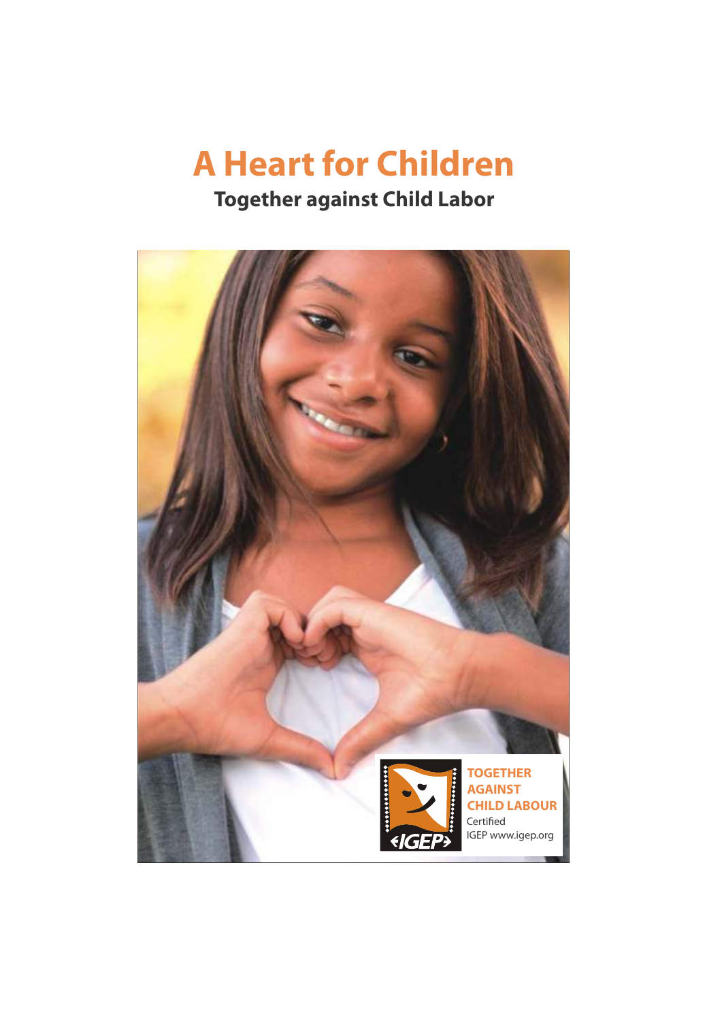# **A Heart for Children**

# **Together against Child Labor**

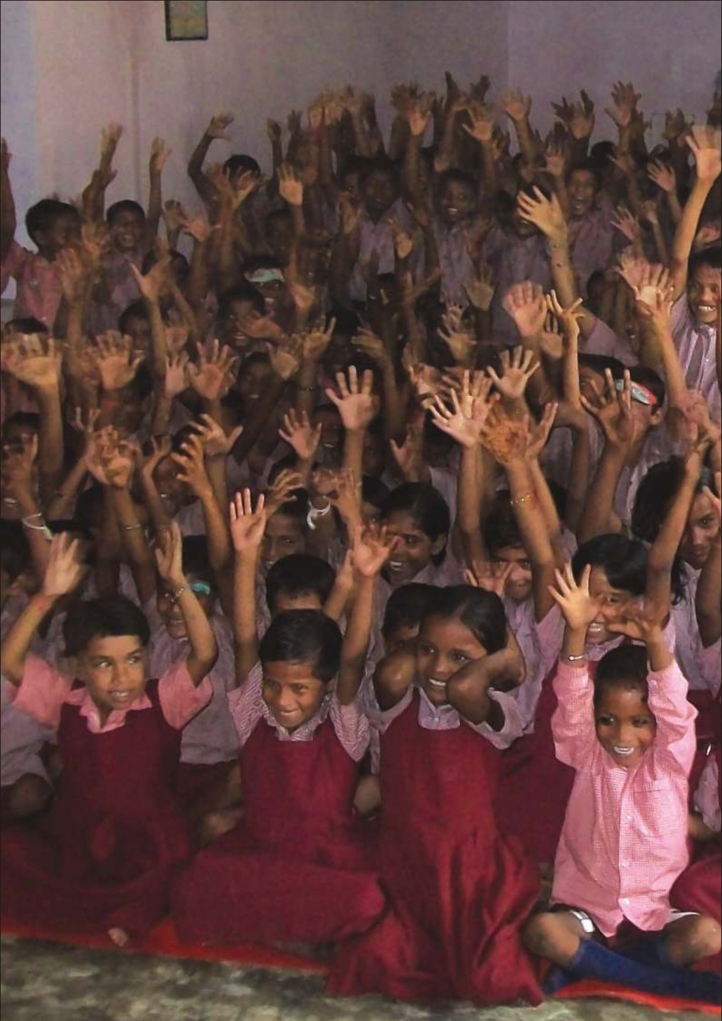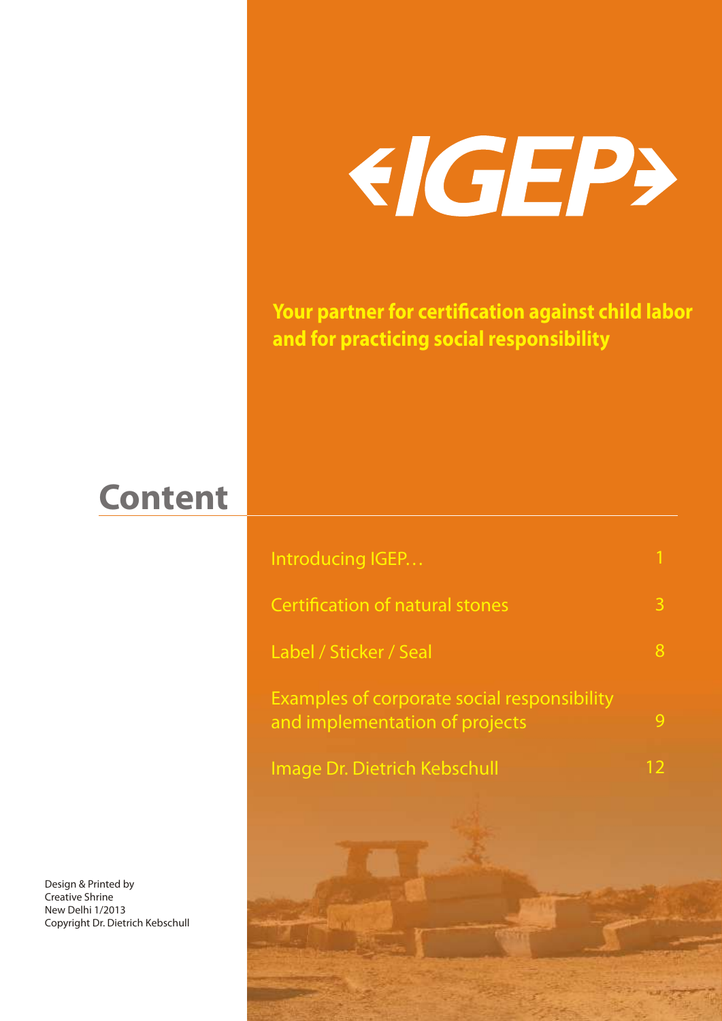

**Your partner for certification against child labor and for practicing social responsibility**

# **Content**

| Design & Printed by              |
|----------------------------------|
| Creative Shrine                  |
| New Delhi 1/2013                 |
| Copyright Dr. Dietrich Kebschull |

# 3 8 9 12 Introducing IGEP… Certification of natural stones Label / Sticker / Seal Examples of corporate social responsibility and implementation of projects Image Dr. Dietrich Kebschull

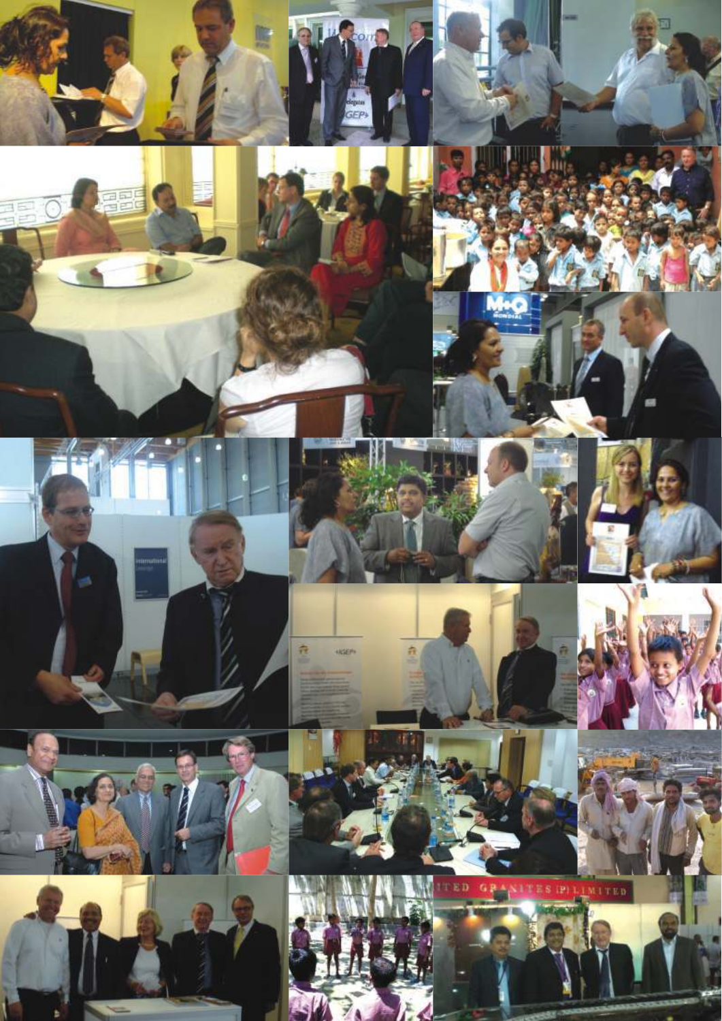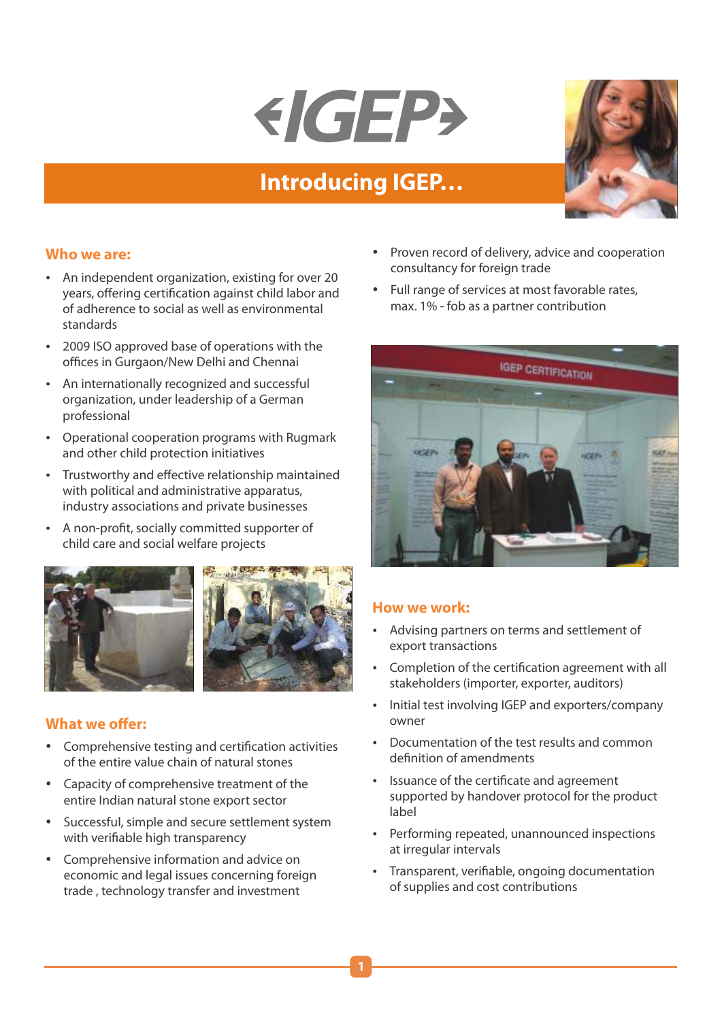

# **Introducing IGEP…**



#### **Who we are:**

- An independent organization, existing for over 20 years, offering certification against child labor and of adherence to social as well as environmental standards
- 2009 ISO approved base of operations with the offices in Gurgaon/New Delhi and Chennai
- An internationally recognized and successful organization, under leadership of a German professional
- Operational cooperation programs with Rugmark and other child protection initiatives
- Trustworthy and effective relationship maintained with political and administrative apparatus, industry associations and private businesses
- A non-profit, socially committed supporter of child care and social welfare projects





#### **What we offer:**

- Comprehensive testing and certification activities of the entire value chain of natural stones
- Capacity of comprehensive treatment of the entire Indian natural stone export sector
- Successful, simple and secure settlement system with verifiable high transparency
- Comprehensive information and advice on economic and legal issues concerning foreign trade , technology transfer and investment
- Proven record of delivery, advice and cooperation consultancy for foreign trade
- Full range of services at most favorable rates, max. 1% - fob as a partner contribution



#### **How we work:**

- Advising partners on terms and settlement of export transactions
- Completion of the certification agreement with all stakeholders (importer, exporter, auditors)
- Initial test involving IGEP and exporters/company owner
- Documentation of the test results and common definition of amendments
- Issuance of the certificate and agreement supported by handover protocol for the product label
- Performing repeated, unannounced inspections at irregular intervals
- Transparent, verifiable, ongoing documentation of supplies and cost contributions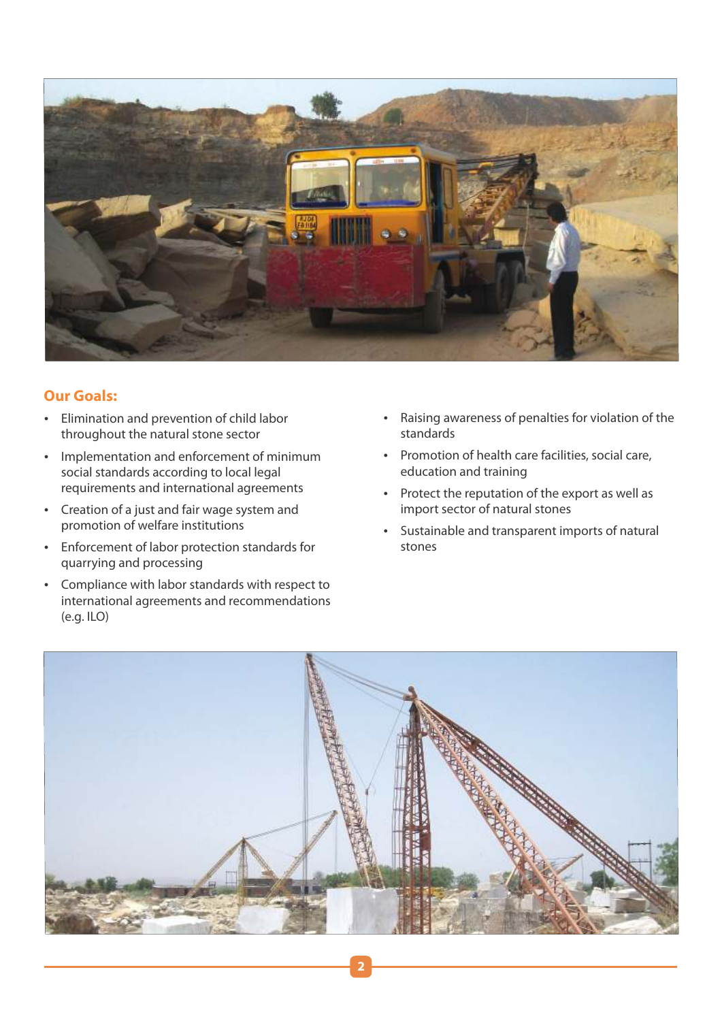

#### **Our Goals:**

- Elimination and prevention of child labor throughout the natural stone sector
- Implementation and enforcement of minimum social standards according to local legal requirements and international agreements
- Creation of a just and fair wage system and promotion of welfare institutions
- Enforcement of labor protection standards for quarrying and processing
- Compliance with labor standards with respect to international agreements and recommendations (e.g. ILO)
- Raising awareness of penalties for violation of the standards
- Promotion of health care facilities, social care, education and training
- Protect the reputation of the export as well as import sector of natural stones
- Sustainable and transparent imports of natural stones

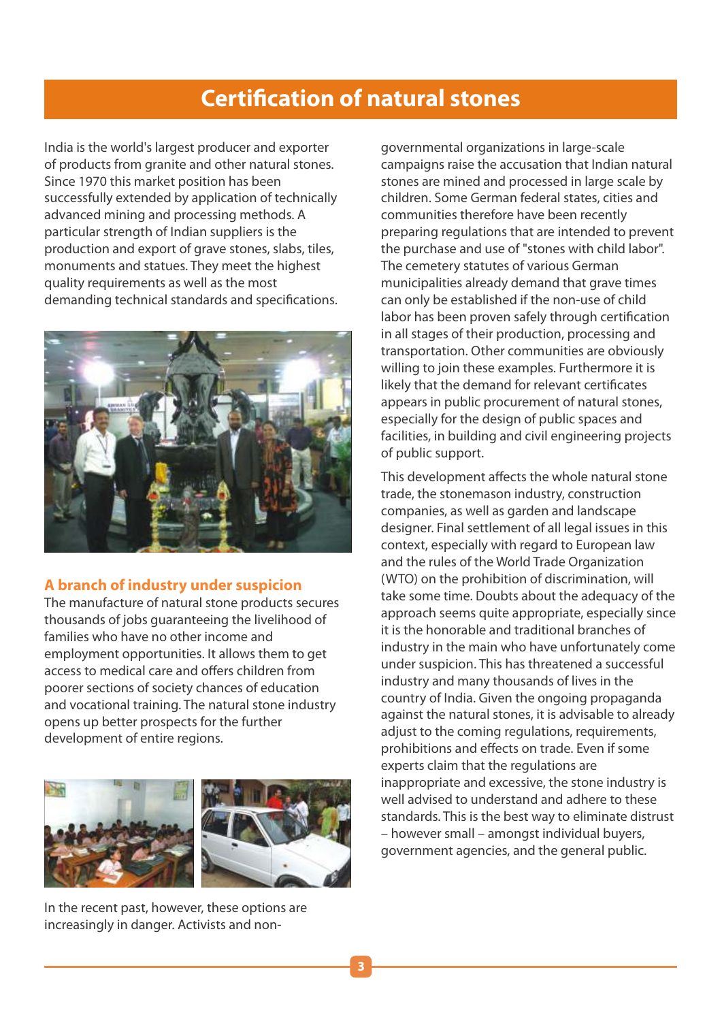# **Certification of natural stones**

India is the world's largest producer and exporter of products from granite and other natural stones. Since 1970 this market position has been successfully extended by application of technically advanced mining and processing methods. A particular strength of Indian suppliers is the production and export of grave stones, slabs, tiles, monuments and statues. They meet the highest quality requirements as well as the most demanding technical standards and specifications.



#### **A branch of industry under suspicion**

The manufacture of natural stone products secures thousands of jobs guaranteeing the livelihood of families who have no other income and employment opportunities. It allows them to get access to medical care and offers children from poorer sections of society chances of education and vocational training. The natural stone industry opens up better prospects for the further development of entire regions.



In the recent past, however, these options are increasingly in danger. Activists and nongovernmental organizations in large-scale campaigns raise the accusation that Indian natural stones are mined and processed in large scale by children. Some German federal states, cities and communities therefore have been recently preparing regulations that are intended to prevent the purchase and use of "stones with child labor". The cemetery statutes of various German municipalities already demand that grave times can only be established if the non-use of child labor has been proven safely through certification in all stages of their production, processing and transportation. Other communities are obviously willing to join these examples. Furthermore it is likely that the demand for relevant certificates appears in public procurement of natural stones, especially for the design of public spaces and facilities, in building and civil engineering projects of public support.

This development affects the whole natural stone trade, the stonemason industry, construction companies, as well as garden and landscape designer. Final settlement of all legal issues in this context, especially with regard to European law and the rules of the World Trade Organization (WTO) on the prohibition of discrimination, will take some time. Doubts about the adequacy of the approach seems quite appropriate, especially since it is the honorable and traditional branches of industry in the main who have unfortunately come under suspicion. This has threatened a successful industry and many thousands of lives in the country of India. Given the ongoing propaganda against the natural stones, it is advisable to already adjust to the coming regulations, requirements, prohibitions and effects on trade. Even if some experts claim that the regulations are inappropriate and excessive, the stone industry is well advised to understand and adhere to these standards. This is the best way to eliminate distrust – however small – amongst individual buyers, government agencies, and the general public.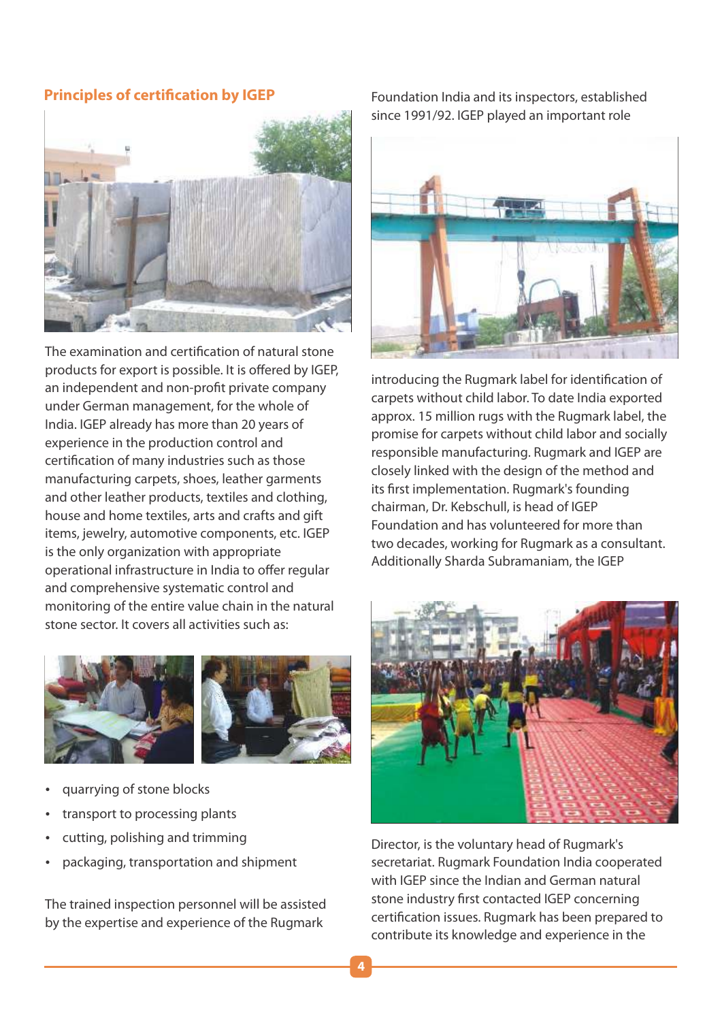#### **Principles of certification by IGEP**



The examination and certification of natural stone products for export is possible. It is offered by IGEP, an independent and non-profit private company under German management, for the whole of India. IGEP already has more than 20 years of experience in the production control and certification of many industries such as those manufacturing carpets, shoes, leather garments and other leather products, textiles and clothing, house and home textiles, arts and crafts and gift items, jewelry, automotive components, etc. IGEP is the only organization with appropriate operational infrastructure in India to offer regular and comprehensive systematic control and monitoring of the entire value chain in the natural stone sector. It covers all activities such as:





- quarrying of stone blocks
- transport to processing plants
- cutting, polishing and trimming
- packaging, transportation and shipment

The trained inspection personnel will be assisted by the expertise and experience of the Rugmark

Foundation India and its inspectors, established since 1991/92. IGEP played an important role



introducing the Rugmark label for identification of carpets without child labor. To date India exported approx. 15 million rugs with the Rugmark label, the promise for carpets without child labor and socially responsible manufacturing. Rugmark and IGEP are closely linked with the design of the method and its first implementation. Rugmark's founding chairman, Dr. Kebschull, is head of IGEP Foundation and has volunteered for more than two decades, working for Rugmark as a consultant. Additionally Sharda Subramaniam, the IGEP



Director, is the voluntary head of Rugmark's secretariat. Rugmark Foundation India cooperated with IGEP since the Indian and German natural stone industry first contacted IGEP concerning certification issues. Rugmark has been prepared to contribute its knowledge and experience in the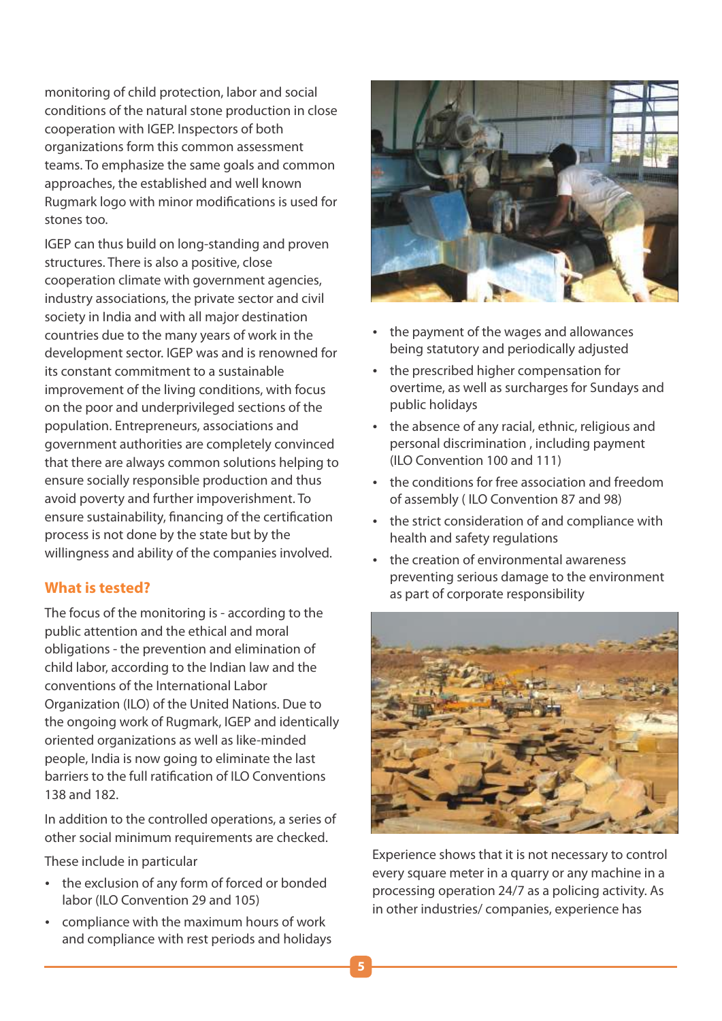monitoring of child protection, labor and social conditions of the natural stone production in close cooperation with IGEP. Inspectors of both organizations form this common assessment teams. To emphasize the same goals and common approaches, the established and well known Rugmark logo with minor modifications is used for stones too.

IGEP can thus build on long-standing and proven structures. There is also a positive, close cooperation climate with government agencies, industry associations, the private sector and civil society in India and with all major destination countries due to the many years of work in the development sector. IGEP was and is renowned for its constant commitment to a sustainable improvement of the living conditions, with focus on the poor and underprivileged sections of the population. Entrepreneurs, associations and government authorities are completely convinced that there are always common solutions helping to ensure socially responsible production and thus avoid poverty and further impoverishment. To ensure sustainability, financing of the certification process is not done by the state but by the willingness and ability of the companies involved.

#### **What is tested?**

The focus of the monitoring is - according to the public attention and the ethical and moral obligations - the prevention and elimination of child labor, according to the Indian law and the conventions of the International Labor Organization (ILO) of the United Nations. Due to the ongoing work of Rugmark, IGEP and identically oriented organizations as well as like-minded people, India is now going to eliminate the last barriers to the full ratification of ILO Conventions 138 and 182.

In addition to the controlled operations, a series of other social minimum requirements are checked.

These include in particular

- the exclusion of any form of forced or bonded labor (ILO Convention 29 and 105)
- compliance with the maximum hours of work and compliance with rest periods and holidays



- the payment of the wages and allowances being statutory and periodically adjusted
- the prescribed higher compensation for overtime, as well as surcharges for Sundays and public holidays
- the absence of any racial, ethnic, religious and personal discrimination , including payment (ILO Convention 100 and 111)
- the conditions for free association and freedom of assembly ( ILO Convention 87 and 98)
- the strict consideration of and compliance with health and safety regulations
- the creation of environmental awareness preventing serious damage to the environment as part of corporate responsibility



Experience shows that it is not necessary to control every square meter in a quarry or any machine in a processing operation 24/7 as a policing activity. As in other industries/ companies, experience has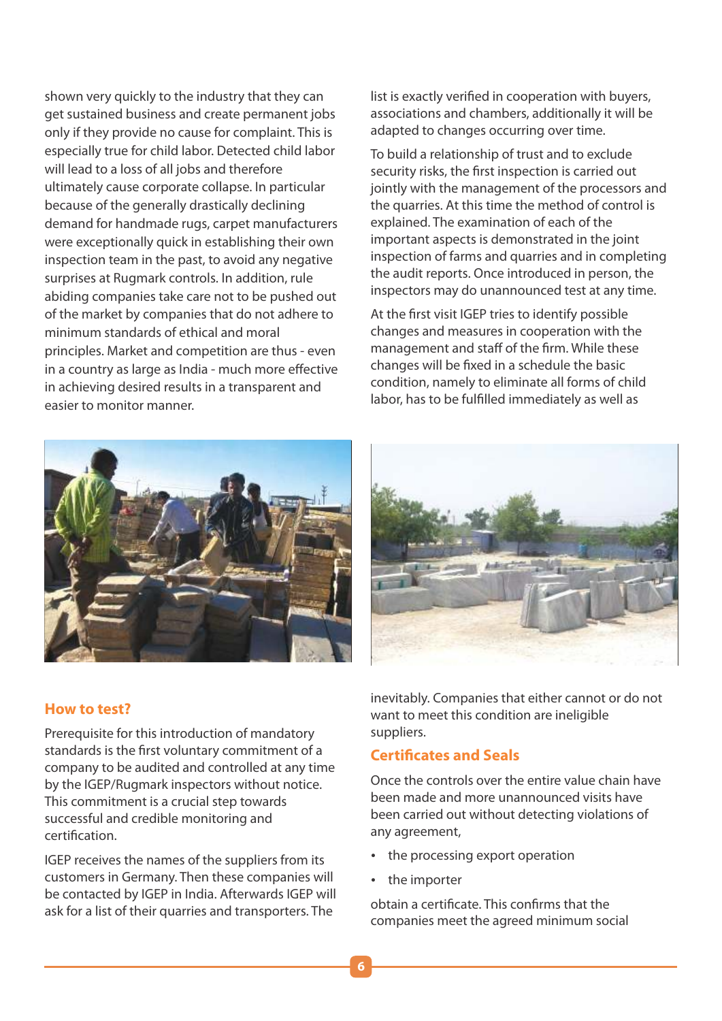shown very quickly to the industry that they can get sustained business and create permanent jobs only if they provide no cause for complaint. This is especially true for child labor. Detected child labor will lead to a loss of all jobs and therefore ultimately cause corporate collapse. In particular because of the generally drastically declining demand for handmade rugs, carpet manufacturers were exceptionally quick in establishing their own inspection team in the past, to avoid any negative surprises at Rugmark controls. In addition, rule abiding companies take care not to be pushed out of the market by companies that do not adhere to minimum standards of ethical and moral principles. Market and competition are thus - even in a country as large as India - much more effective in achieving desired results in a transparent and easier to monitor manner.

list is exactly verified in cooperation with buyers, associations and chambers, additionally it will be adapted to changes occurring over time.

To build a relationship of trust and to exclude security risks, the first inspection is carried out jointly with the management of the processors and the quarries. At this time the method of control is explained. The examination of each of the important aspects is demonstrated in the joint inspection of farms and quarries and in completing the audit reports. Once introduced in person, the inspectors may do unannounced test at any time.

At the first visit IGEP tries to identify possible changes and measures in cooperation with the management and staff of the firm. While these changes will be fixed in a schedule the basic condition, namely to eliminate all forms of child labor, has to be fulfilled immediately as well as





#### **How to test?**

Prerequisite for this introduction of mandatory standards is the first voluntary commitment of a company to be audited and controlled at any time by the IGEP/Rugmark inspectors without notice. This commitment is a crucial step towards successful and credible monitoring and certification.

IGEP receives the names of the suppliers from its customers in Germany. Then these companies will be contacted by IGEP in India. Afterwards IGEP will ask for a list of their quarries and transporters. The

inevitably. Companies that either cannot or do not want to meet this condition are ineligible suppliers.

#### **Certificates and Seals**

Once the controls over the entire value chain have been made and more unannounced visits have been carried out without detecting violations of any agreement,

- the processing export operation
- the importer

obtain a certificate. This confirms that the companies meet the agreed minimum social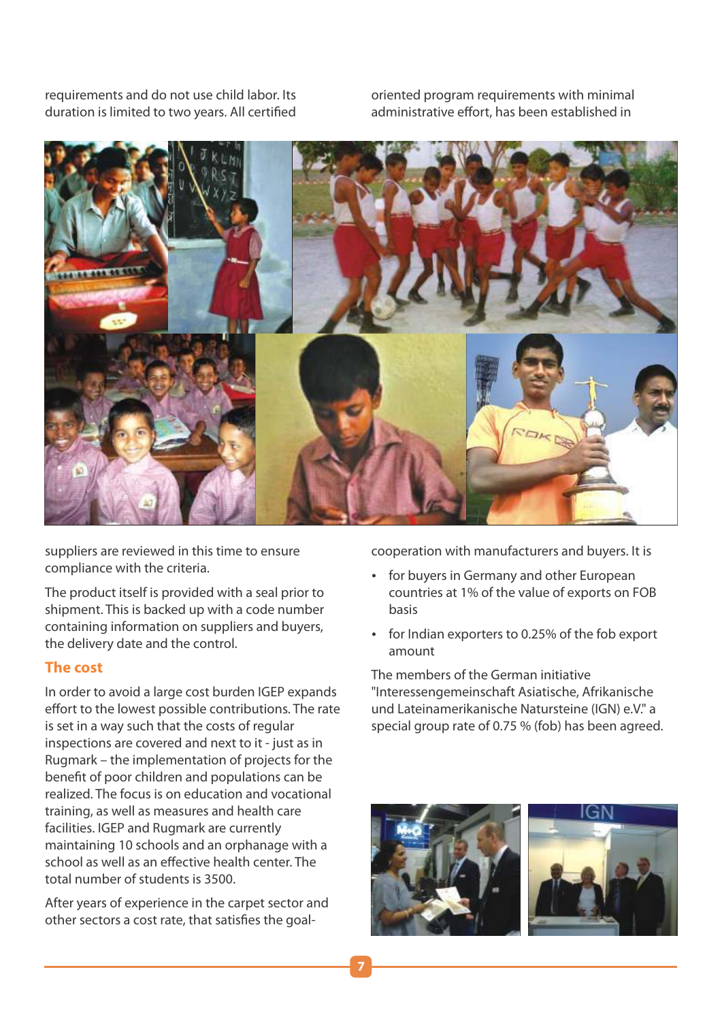requirements and do not use child labor. Its duration is limited to two years. All certified oriented program requirements with minimal administrative effort, has been established in



suppliers are reviewed in this time to ensure compliance with the criteria.

The product itself is provided with a seal prior to shipment. This is backed up with a code number containing information on suppliers and buyers, the delivery date and the control.

#### **The cost**

In order to avoid a large cost burden IGEP expands effort to the lowest possible contributions. The rate is set in a way such that the costs of regular inspections are covered and next to it - just as in Rugmark – the implementation of projects for the benefit of poor children and populations can be realized. The focus is on education and vocational training, as well as measures and health care facilities. IGEP and Rugmark are currently maintaining 10 schools and an orphanage with a school as well as an effective health center. The total number of students is 3500.

After years of experience in the carpet sector and other sectors a cost rate, that satisfies the goalcooperation with manufacturers and buyers. It is

- for buyers in Germany and other European countries at 1% of the value of exports on FOB basis
- for Indian exporters to 0.25% of the fob export amount

The members of the German initiative "Interessengemeinschaft Asiatische, Afrikanische und Lateinamerikanische Natursteine (IGN) e.V." a special group rate of 0.75 % (fob) has been agreed.



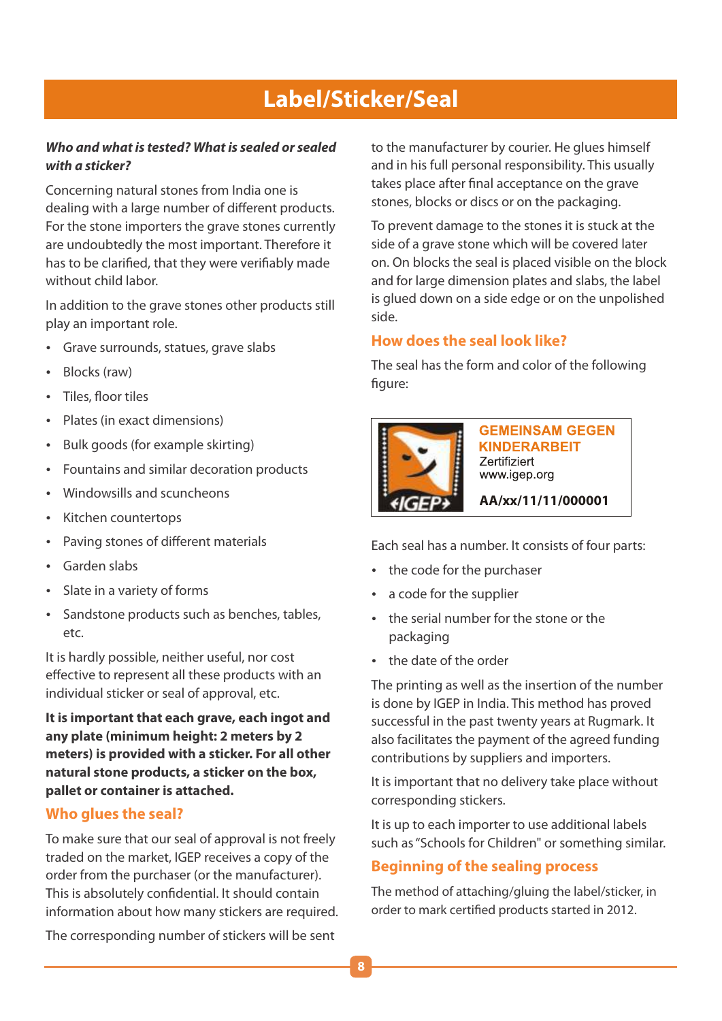# **Label/Sticker/Seal**

#### **Who and what is tested? What is sealed or sealed with a sticker?**

Concerning natural stones from India one is dealing with a large number of different products. For the stone importers the grave stones currently are undoubtedly the most important. Therefore it has to be clarified, that they were verifiably made without child labor.

In addition to the grave stones other products still play an important role.

- Grave surrounds, statues, grave slabs
- Blocks (raw)
- Tiles, floor tiles
- Plates (in exact dimensions)
- Bulk goods (for example skirting)
- Fountains and similar decoration products
- Windowsills and scuncheons
- Kitchen countertops
- Paving stones of different materials
- Garden slabs
- Slate in a variety of forms
- Sandstone products such as benches, tables, etc.

It is hardly possible, neither useful, nor cost effective to represent all these products with an individual sticker or seal of approval, etc.

**It is important that each grave, each ingot and any plate (minimum height: 2 meters by 2 meters) is provided with a sticker. For all other natural stone products, a sticker on the box, pallet or container is attached.**

#### **Who glues the seal?**

To make sure that our seal of approval is not freely traded on the market, IGEP receives a copy of the order from the purchaser (or the manufacturer). This is absolutely confidential. It should contain information about how many stickers are required.

The corresponding number of stickers will be sent

to the manufacturer by courier. He glues himself and in his full personal responsibility. This usually takes place after final acceptance on the grave stones, blocks or discs or on the packaging.

To prevent damage to the stones it is stuck at the side of a grave stone which will be covered later on. On blocks the seal is placed visible on the block and for large dimension plates and slabs, the label is glued down on a side edge or on the unpolished side.

#### **How does the seal look like?**

The seal has the form and color of the following figure:



**GEMEINSAM GEGEN KINDERARREIT** Zertifiziert www.igep.org

#### **AA/xx/11/11/000001**

Each seal has a number. It consists of four parts:

- the code for the purchaser
- a code for the supplier
- the serial number for the stone or the packaging
- $\cdot$  the date of the order

The printing as well as the insertion of the number is done by IGEP in India. This method has proved successful in the past twenty years at Rugmark. It also facilitates the payment of the agreed funding contributions by suppliers and importers.

It is important that no delivery take place without corresponding stickers.

It is up to each importer to use additional labels such as "Schools for Children" or something similar.

#### **Beginning of the sealing process**

The method of attaching/gluing the label/sticker, in order to mark certified products started in 2012.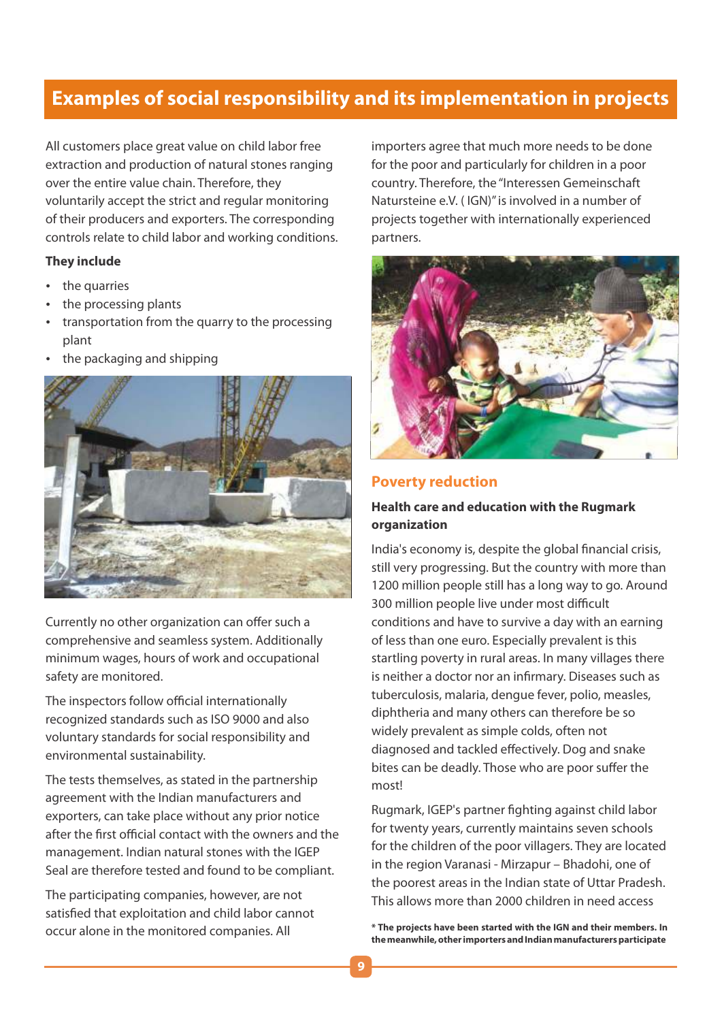### **Examples of social responsibility and its implementation in projects**

All customers place great value on child labor free extraction and production of natural stones ranging over the entire value chain. Therefore, they voluntarily accept the strict and regular monitoring of their producers and exporters. The corresponding controls relate to child labor and working conditions.

#### **They include**

- the quarries
- the processing plants
- transportation from the quarry to the processing plant
- the packaging and shipping



Currently no other organization can offer such a comprehensive and seamless system. Additionally minimum wages, hours of work and occupational safety are monitored.

The inspectors follow official internationally recognized standards such as ISO 9000 and also voluntary standards for social responsibility and environmental sustainability.

The tests themselves, as stated in the partnership agreement with the Indian manufacturers and exporters, can take place without any prior notice after the first official contact with the owners and the management. Indian natural stones with the IGEP Seal are therefore tested and found to be compliant.

The participating companies, however, are not satisfied that exploitation and child labor cannot occur alone in the monitored companies. All

importers agree that much more needs to be done for the poor and particularly for children in a poor country. Therefore, the "Interessen Gemeinschaft Natursteine e.V. ( IGN)" is involved in a number of projects together with internationally experienced partners.



#### **Poverty reduction**

#### **Health care and education with the Rugmark organization**

India's economy is, despite the global financial crisis, still very progressing. But the country with more than 1200 million people still has a long way to go. Around 300 million people live under most difficult conditions and have to survive a day with an earning of less than one euro. Especially prevalent is this startling poverty in rural areas. In many villages there is neither a doctor nor an infirmary. Diseases such as tuberculosis, malaria, dengue fever, polio, measles, diphtheria and many others can therefore be so widely prevalent as simple colds, often not diagnosed and tackled effectively. Dog and snake bites can be deadly. Those who are poor suffer the most!

Rugmark, IGEP's partner fighting against child labor for twenty years, currently maintains seven schools for the children of the poor villagers. They are located in the region Varanasi - Mirzapur – Bhadohi, one of the poorest areas in the Indian state of Uttar Pradesh. This allows more than 2000 children in need access

**\* The projects have been started with the IGN and their members. In the meanwhile, other importers and Indian manufacturers participate**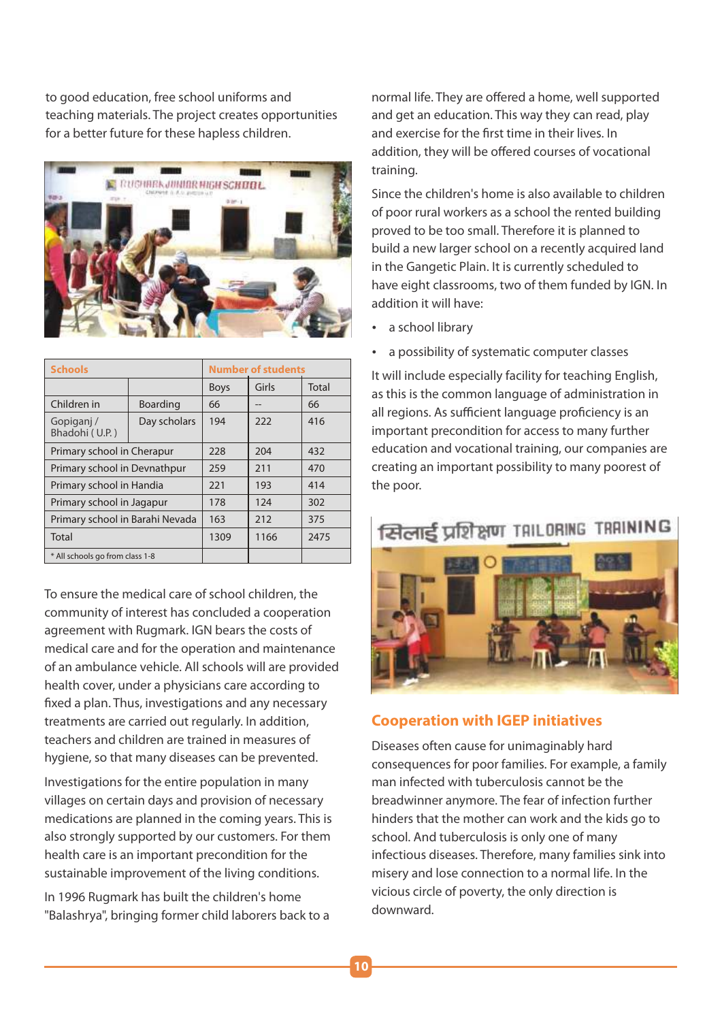to good education, free school uniforms and teaching materials. The project creates opportunities for a better future for these hapless children.



| <b>Schools</b>                  |              | <b>Number of students</b> |       |       |
|---------------------------------|--------------|---------------------------|-------|-------|
|                                 |              | <b>Boys</b>               | Girls | Total |
| Children in                     | Boarding     | 66                        | --    | 66    |
| Gopiganj/<br>Bhadohi (U.P.)     | Day scholars | 194                       | 222   | 416   |
| Primary school in Cherapur      |              | 228                       | 204   | 432   |
| Primary school in Devnathpur    |              | 259                       | 211   | 470   |
| Primary school in Handia        |              | 221                       | 193   | 414   |
| Primary school in Jagapur       |              | 178                       | 124   | 302   |
| Primary school in Barahi Nevada |              | 163                       | 212   | 375   |
| Total                           |              | 1309                      | 1166  | 2475  |
| * All schools go from class 1-8 |              |                           |       |       |

To ensure the medical care of school children, the community of interest has concluded a cooperation agreement with Rugmark. IGN bears the costs of medical care and for the operation and maintenance of an ambulance vehicle. All schools will are provided health cover, under a physicians care according to fixed a plan. Thus, investigations and any necessary treatments are carried out regularly. In addition, teachers and children are trained in measures of hygiene, so that many diseases can be prevented.

Investigations for the entire population in many villages on certain days and provision of necessary medications are planned in the coming years. This is also strongly supported by our customers. For them health care is an important precondition for the sustainable improvement of the living conditions.

In 1996 Rugmark has built the children's home "Balashrya", bringing former child laborers back to a

normal life. They are offered a home, well supported and get an education. This way they can read, play and exercise for the first time in their lives. In addition, they will be offered courses of vocational training.

Since the children's home is also available to children of poor rural workers as a school the rented building proved to be too small. Therefore it is planned to build a new larger school on a recently acquired land in the Gangetic Plain. It is currently scheduled to have eight classrooms, two of them funded by IGN. In addition it will have:

- a school library
- a possibility of systematic computer classes

It will include especially facility for teaching English, as this is the common language of administration in all regions. As sufficient language proficiency is an important precondition for access to many further education and vocational training, our companies are creating an important possibility to many poorest of the poor.



#### **Cooperation with IGEP initiatives**

Diseases often cause for unimaginably hard consequences for poor families. For example, a family man infected with tuberculosis cannot be the breadwinner anymore. The fear of infection further hinders that the mother can work and the kids go to school. And tuberculosis is only one of many infectious diseases. Therefore, many families sink into misery and lose connection to a normal life. In the vicious circle of poverty, the only direction is downward.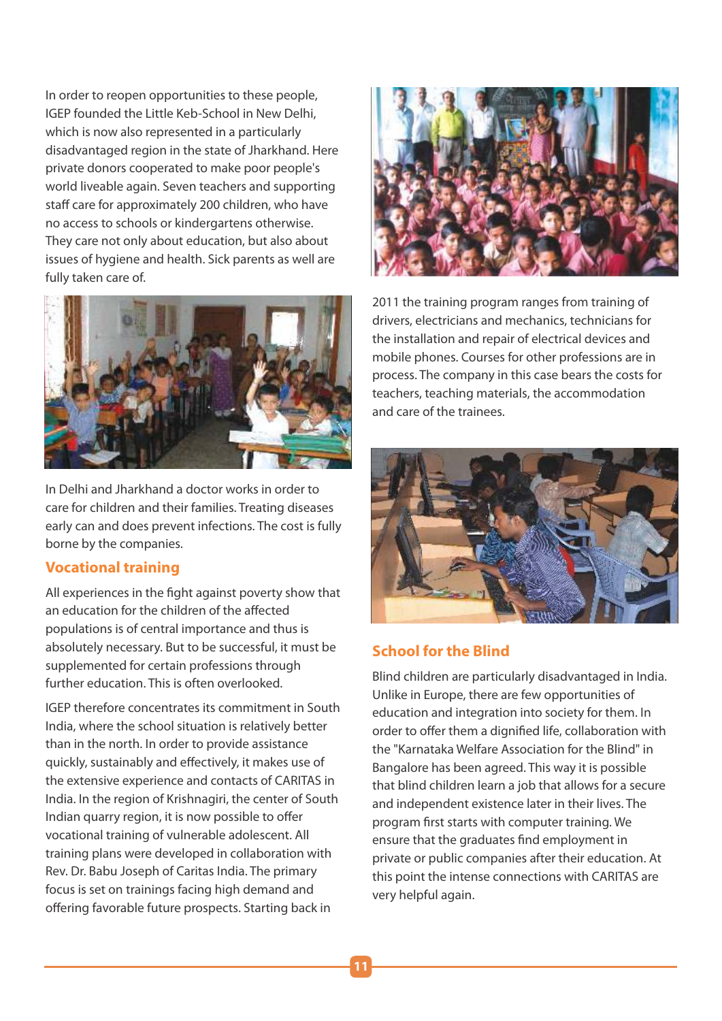In order to reopen opportunities to these people, IGEP founded the Little Keb-School in New Delhi, which is now also represented in a particularly disadvantaged region in the state of Jharkhand. Here private donors cooperated to make poor people's world liveable again. Seven teachers and supporting staff care for approximately 200 children, who have no access to schools or kindergartens otherwise. They care not only about education, but also about issues of hygiene and health. Sick parents as well are fully taken care of.



In Delhi and Jharkhand a doctor works in order to care for children and their families. Treating diseases early can and does prevent infections. The cost is fully borne by the companies.

#### **Vocational training**

All experiences in the fight against poverty show that an education for the children of the affected populations is of central importance and thus is absolutely necessary. But to be successful, it must be supplemented for certain professions through further education. This is often overlooked.

IGEP therefore concentrates its commitment in South India, where the school situation is relatively better than in the north. In order to provide assistance quickly, sustainably and effectively, it makes use of the extensive experience and contacts of CARITAS in India. In the region of Krishnagiri, the center of South Indian quarry region, it is now possible to offer vocational training of vulnerable adolescent. All training plans were developed in collaboration with Rev. Dr. Babu Joseph of Caritas India. The primary focus is set on trainings facing high demand and offering favorable future prospects. Starting back in



2011 the training program ranges from training of drivers, electricians and mechanics, technicians for the installation and repair of electrical devices and mobile phones. Courses for other professions are in process. The company in this case bears the costs for teachers, teaching materials, the accommodation and care of the trainees.



#### **School for the Blind**

Blind children are particularly disadvantaged in India. Unlike in Europe, there are few opportunities of education and integration into society for them. In order to offer them a dignified life, collaboration with the "Karnataka Welfare Association for the Blind" in Bangalore has been agreed. This way it is possible that blind children learn a job that allows for a secure and independent existence later in their lives. The program first starts with computer training. We ensure that the graduates find employment in private or public companies after their education. At this point the intense connections with CARITAS are very helpful again.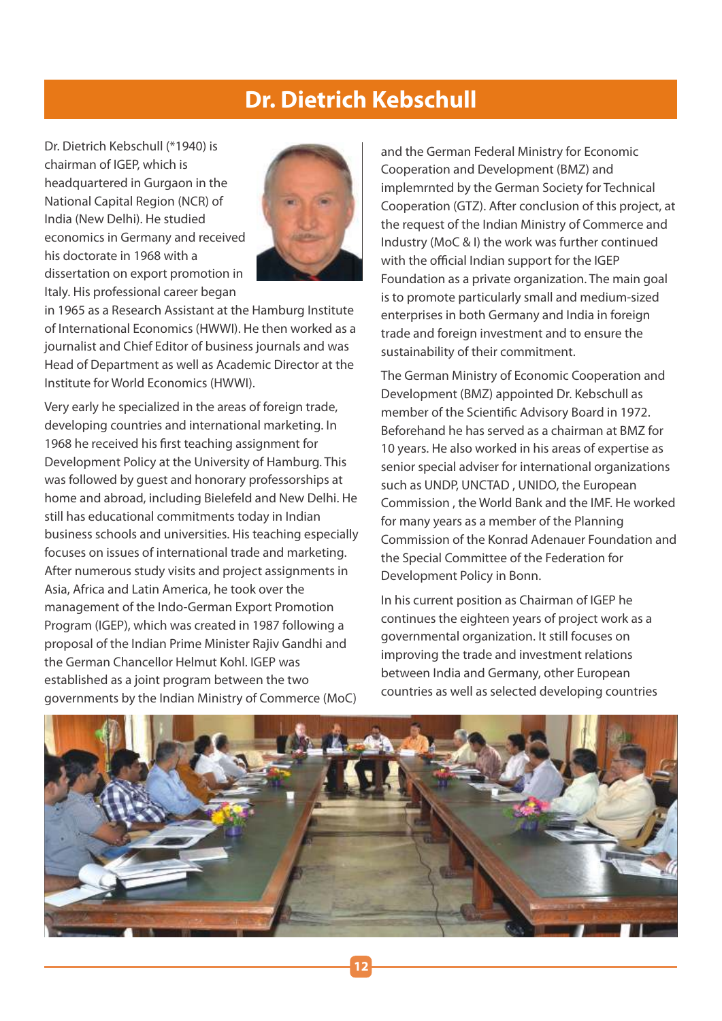# **Dr. Dietrich Kebschull**

Dr. Dietrich Kebschull (\*1940) is chairman of IGEP, which is headquartered in Gurgaon in the National Capital Region (NCR) of India (New Delhi). He studied economics in Germany and received his doctorate in 1968 with a dissertation on export promotion in Italy. His professional career began



in 1965 as a Research Assistant at the Hamburg Institute of International Economics (HWWI). He then worked as a journalist and Chief Editor of business journals and was Head of Department as well as Academic Director at the Institute for World Economics (HWWI).

Very early he specialized in the areas of foreign trade, developing countries and international marketing. In 1968 he received his first teaching assignment for Development Policy at the University of Hamburg. This was followed by guest and honorary professorships at home and abroad, including Bielefeld and New Delhi. He still has educational commitments today in Indian business schools and universities. His teaching especially focuses on issues of international trade and marketing. After numerous study visits and project assignments in Asia, Africa and Latin America, he took over the management of the Indo-German Export Promotion Program (IGEP), which was created in 1987 following a proposal of the Indian Prime Minister Rajiv Gandhi and the German Chancellor Helmut Kohl. IGEP was established as a joint program between the two governments by the Indian Ministry of Commerce (MoC)

and the German Federal Ministry for Economic Cooperation and Development (BMZ) and implemrnted by the German Society for Technical Cooperation (GTZ). After conclusion of this project, at the request of the Indian Ministry of Commerce and Industry (MoC & I) the work was further continued with the official Indian support for the IGEP Foundation as a private organization. The main goal is to promote particularly small and medium-sized enterprises in both Germany and India in foreign trade and foreign investment and to ensure the sustainability of their commitment.

The German Ministry of Economic Cooperation and Development (BMZ) appointed Dr. Kebschull as member of the Scientific Advisory Board in 1972. Beforehand he has served as a chairman at BMZ for 10 years. He also worked in his areas of expertise as senior special adviser for international organizations such as UNDP, UNCTAD , UNIDO, the European Commission , the World Bank and the IMF. He worked for many years as a member of the Planning Commission of the Konrad Adenauer Foundation and the Special Committee of the Federation for Development Policy in Bonn.

In his current position as Chairman of IGEP he continues the eighteen years of project work as a governmental organization. It still focuses on improving the trade and investment relations between India and Germany, other European countries as well as selected developing countries

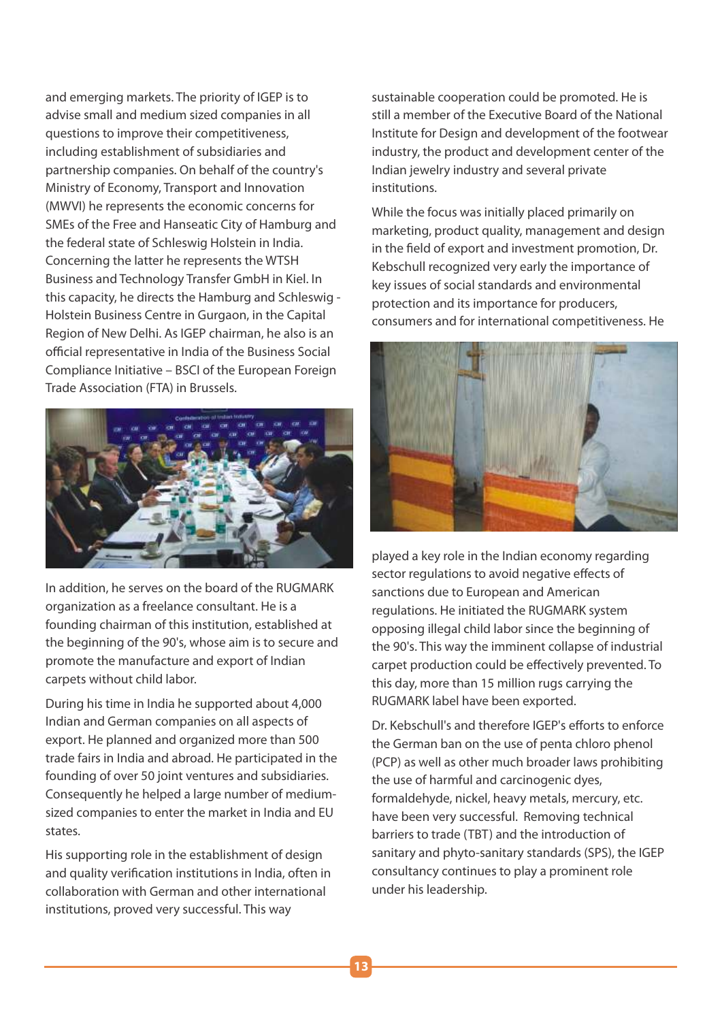and emerging markets. The priority of IGEP is to advise small and medium sized companies in all questions to improve their competitiveness, including establishment of subsidiaries and partnership companies. On behalf of the country's Ministry of Economy, Transport and Innovation (MWVI) he represents the economic concerns for SMEs of the Free and Hanseatic City of Hamburg and the federal state of Schleswig Holstein in India. Concerning the latter he represents the WTSH Business and Technology Transfer GmbH in Kiel. In this capacity, he directs the Hamburg and Schleswig - Holstein Business Centre in Gurgaon, in the Capital Region of New Delhi. As IGEP chairman, he also is an official representative in India of the Business Social Compliance Initiative – BSCI of the European Foreign Trade Association (FTA) in Brussels.



In addition, he serves on the board of the RUGMARK organization as a freelance consultant. He is a founding chairman of this institution, established at the beginning of the 90's, whose aim is to secure and promote the manufacture and export of Indian carpets without child labor.

During his time in India he supported about 4,000 Indian and German companies on all aspects of export. He planned and organized more than 500 trade fairs in India and abroad. He participated in the founding of over 50 joint ventures and subsidiaries. Consequently he helped a large number of mediumsized companies to enter the market in India and EU states.

His supporting role in the establishment of design and quality verification institutions in India, often in collaboration with German and other international institutions, proved very successful. This way

sustainable cooperation could be promoted. He is still a member of the Executive Board of the National Institute for Design and development of the footwear industry, the product and development center of the Indian jewelry industry and several private institutions.

While the focus was initially placed primarily on marketing, product quality, management and design in the field of export and investment promotion, Dr. Kebschull recognized very early the importance of key issues of social standards and environmental protection and its importance for producers, consumers and for international competitiveness. He



played a key role in the Indian economy regarding sector regulations to avoid negative effects of sanctions due to European and American regulations. He initiated the RUGMARK system opposing illegal child labor since the beginning of the 90's. This way the imminent collapse of industrial carpet production could be effectively prevented. To this day, more than 15 million rugs carrying the RUGMARK label have been exported.

Dr. Kebschull's and therefore IGEP's efforts to enforce the German ban on the use of penta chloro phenol (PCP) as well as other much broader laws prohibiting the use of harmful and carcinogenic dyes, formaldehyde, nickel, heavy metals, mercury, etc. have been very successful. Removing technical barriers to trade (TBT) and the introduction of sanitary and phyto-sanitary standards (SPS), the IGEP consultancy continues to play a prominent role under his leadership.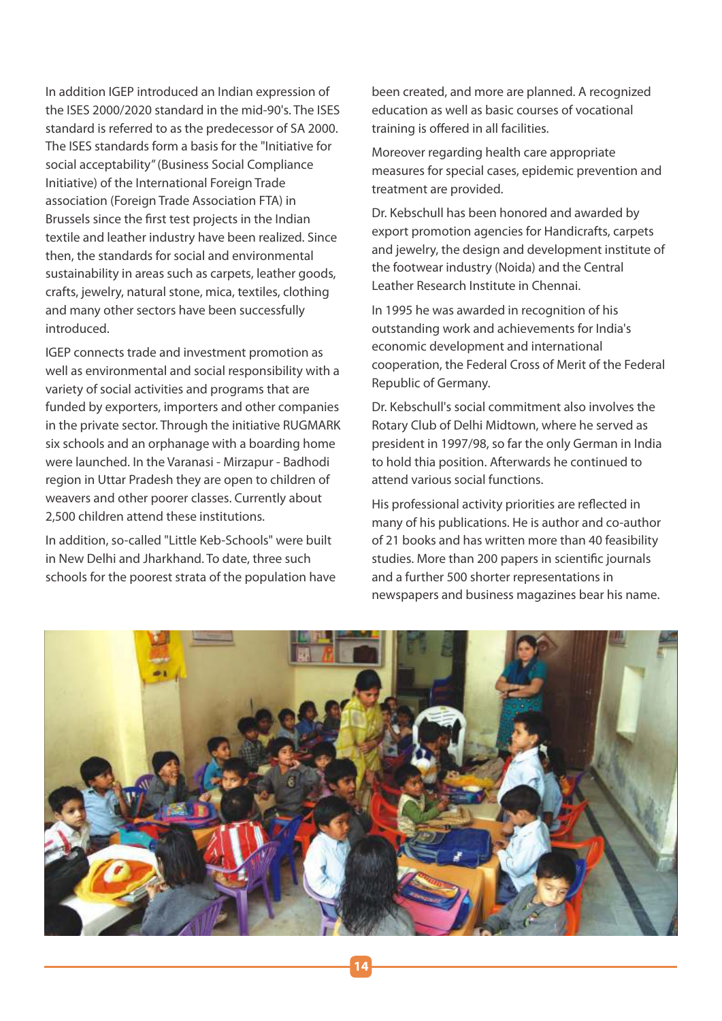In addition IGEP introduced an Indian expression of the ISES 2000/2020 standard in the mid-90's. The ISES standard is referred to as the predecessor of SA 2000. The ISES standards form a basis for the "Initiative for social acceptability" (Business Social Compliance Initiative) of the International Foreign Trade association (Foreign Trade Association FTA) in Brussels since the first test projects in the Indian textile and leather industry have been realized. Since then, the standards for social and environmental sustainability in areas such as carpets, leather goods, crafts, jewelry, natural stone, mica, textiles, clothing and many other sectors have been successfully introduced.

IGEP connects trade and investment promotion as well as environmental and social responsibility with a variety of social activities and programs that are funded by exporters, importers and other companies in the private sector. Through the initiative RUGMARK six schools and an orphanage with a boarding home were launched. In the Varanasi - Mirzapur - Badhodi region in Uttar Pradesh they are open to children of weavers and other poorer classes. Currently about 2,500 children attend these institutions.

In addition, so-called "Little Keb-Schools" were built in New Delhi and Jharkhand. To date, three such schools for the poorest strata of the population have been created, and more are planned. A recognized education as well as basic courses of vocational training is offered in all facilities.

Moreover regarding health care appropriate measures for special cases, epidemic prevention and treatment are provided.

Dr. Kebschull has been honored and awarded by export promotion agencies for Handicrafts, carpets and jewelry, the design and development institute of the footwear industry (Noida) and the Central Leather Research Institute in Chennai.

In 1995 he was awarded in recognition of his outstanding work and achievements for India's economic development and international cooperation, the Federal Cross of Merit of the Federal Republic of Germany.

Dr. Kebschull's social commitment also involves the Rotary Club of Delhi Midtown, where he served as president in 1997/98, so far the only German in India to hold thia position. Afterwards he continued to attend various social functions.

His professional activity priorities are reflected in many of his publications. He is author and co-author of 21 books and has written more than 40 feasibility studies. More than 200 papers in scientific journals and a further 500 shorter representations in newspapers and business magazines bear his name.

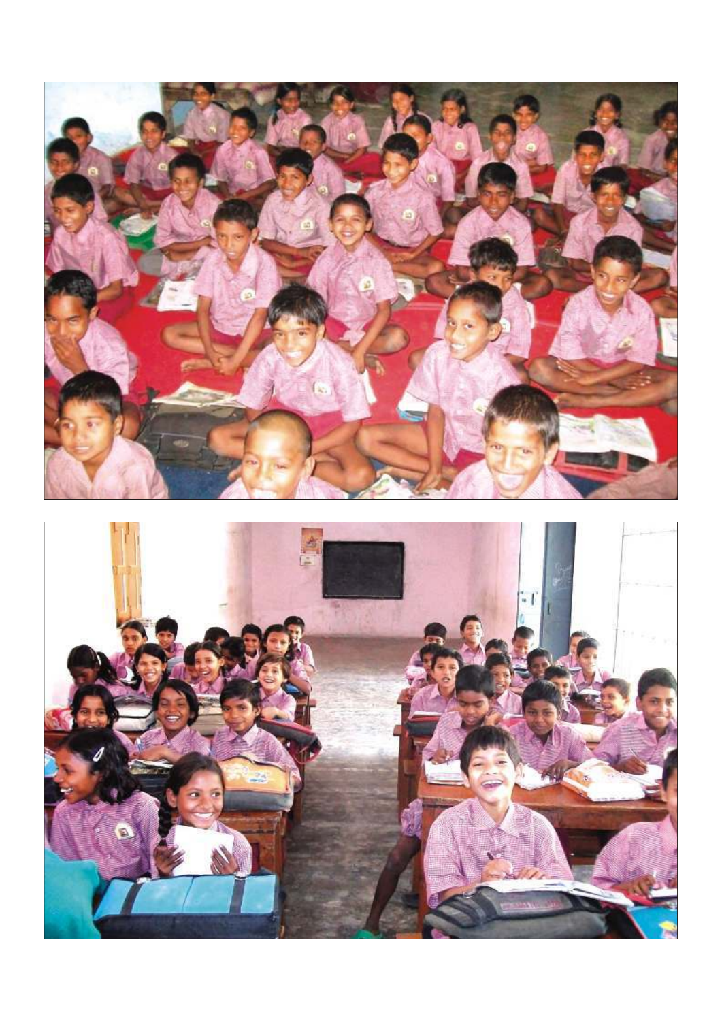